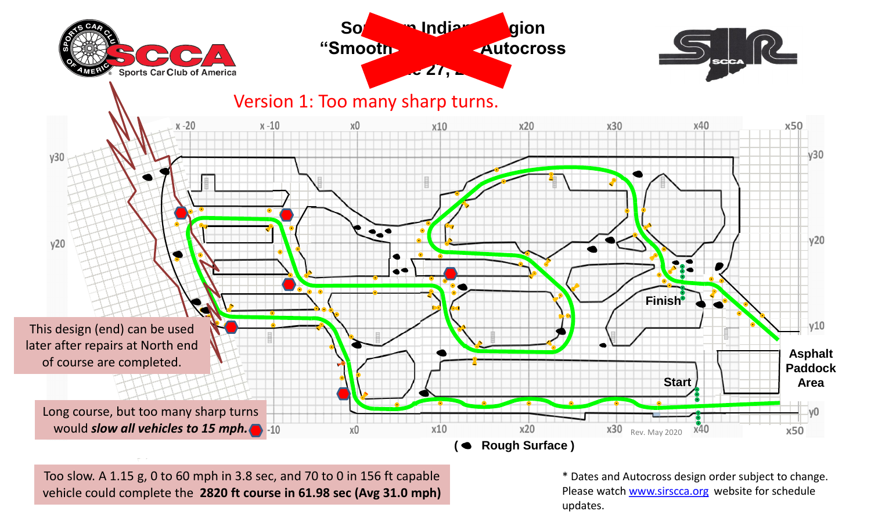

Too slow. A 1.15 g, 0 to 60 mph in 3.8 sec, and 70 to 0 in 156 ft capable vehicle could complete the **2820 ft course in 61.98 sec (Avg 31.0 mph)**

\* Dates and Autocross design order subject to change. Please watch [www.sirscca.org](http://www.sirscca.org/) website for schedule updates.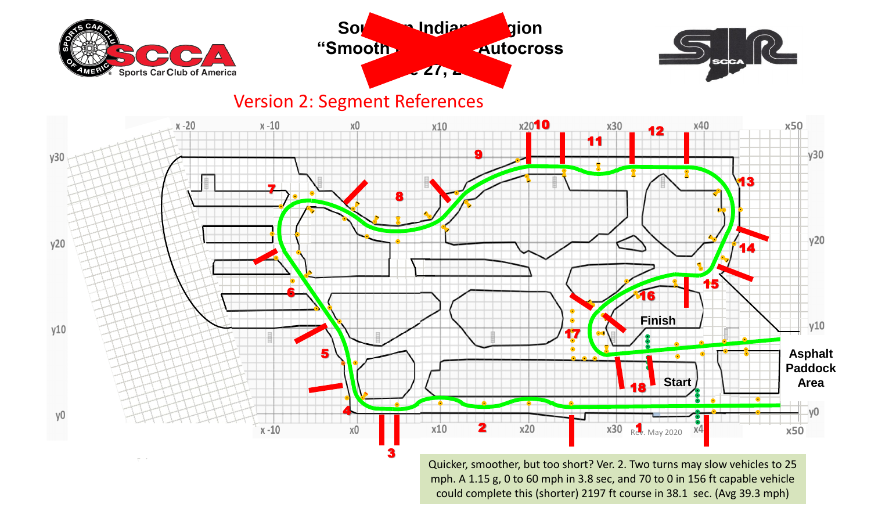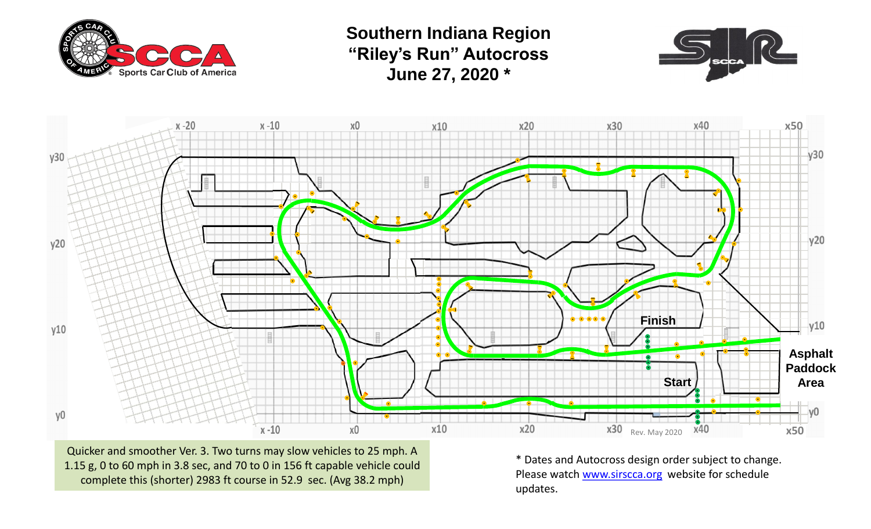

**Southern Indiana Region "Riley's Run" Autocross June 27, 2020 \***





Quicker and smoother Ver. 3. Two turns may slow vehicles to 25 mph. A 1.15 g, 0 to 60 mph in 3.8 sec, and 70 to 0 in 156 ft capable vehicle could complete this (shorter) 2983 ft course in 52.9 sec. (Avg 38.2 mph)

\* Dates and Autocross design order subject to change. Please watch [www.sirscca.org](http://www.sirscca.org/) website for schedule updates.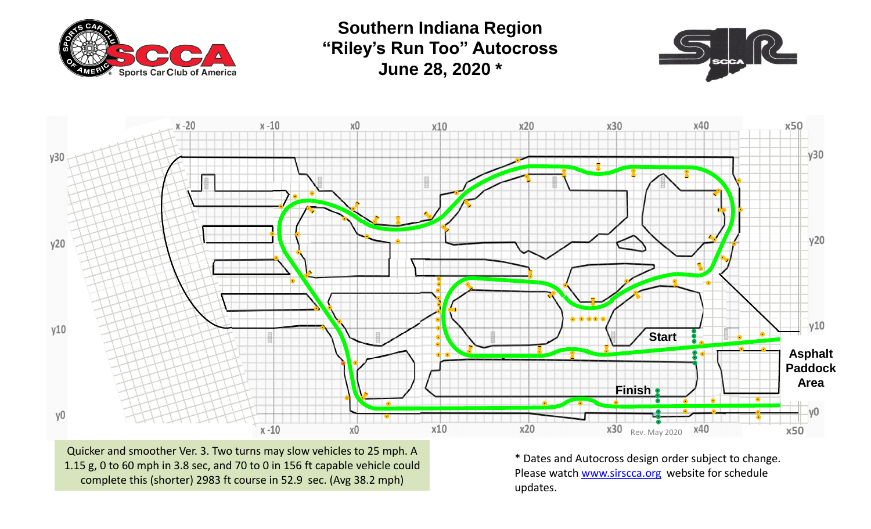

**Southern Indiana Region "Riley's Run Too" Autocross June 28, 2020 \***





Quicker and smoother Ver. 3. Two turns may slow vehicles to 25 mph. A 1.15 g, 0 to 60 mph in 3.8 sec, and 70 to 0 in 156 ft capable vehicle could complete this (shorter) 2983 ft course in 52.9 sec. (Avg 38.2 mph)

\* Dates and Autocross design order subject to change. Please watch [www.sirscca.org](http://www.sirscca.org/) website for schedule updates.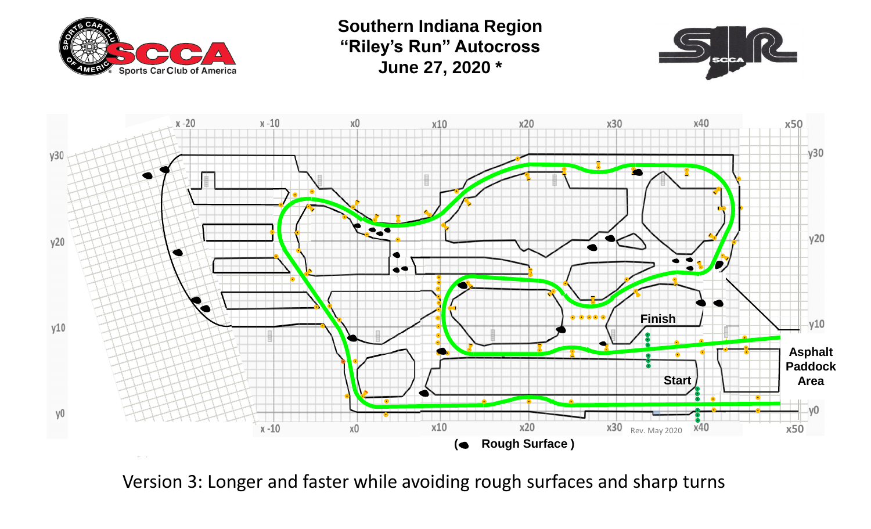

**Southern Indiana Region "Riley's Run" Autocross June 27, 2020 \***





Version 3: Longer and faster while avoiding rough surfaces and sharp turns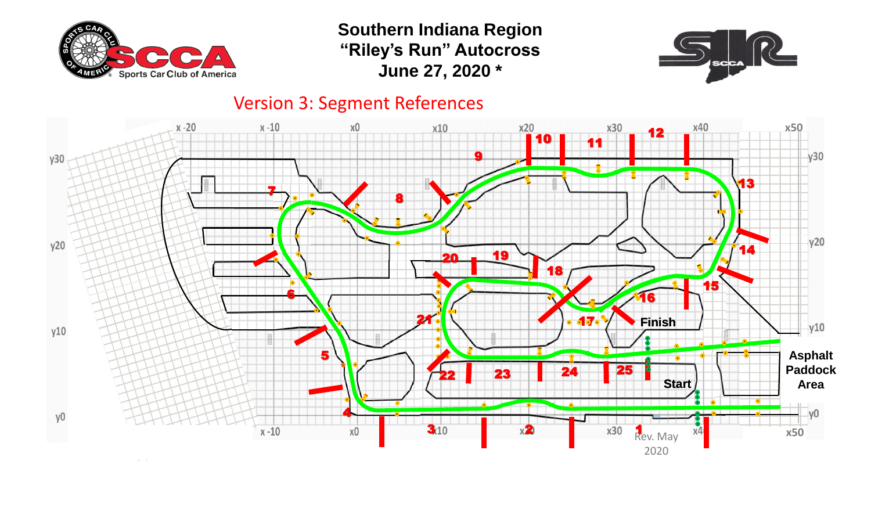

**Southern Indiana Region "Riley's Run" Autocross June 27, 2020 \***



## Version 3: Segment References

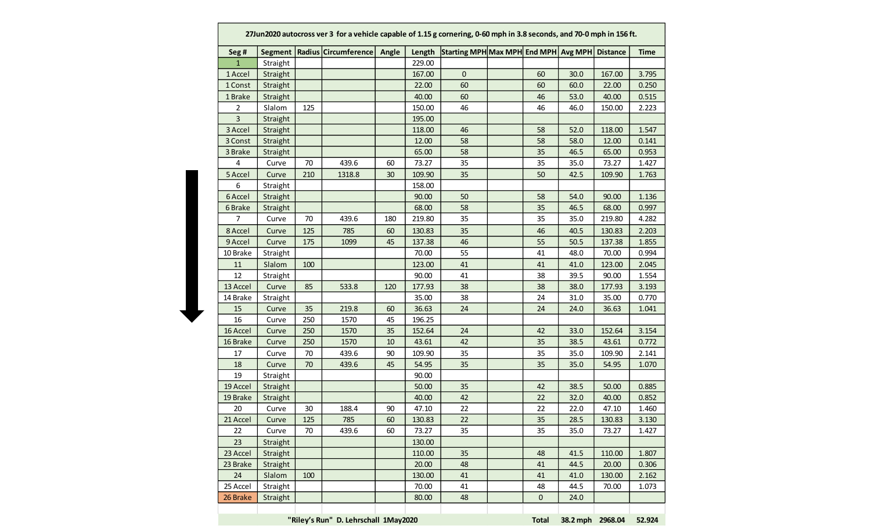| Seg#           |          |     | Segment   Radius   Circumference   Angle |     |        | Length Starting MPH Max MPH End MPH Avg MPH Distance |    |      |        | <b>Time</b> |
|----------------|----------|-----|------------------------------------------|-----|--------|------------------------------------------------------|----|------|--------|-------------|
| $\mathbf{1}$   | Straight |     |                                          |     | 229.00 |                                                      |    |      |        |             |
| 1 Accel        | Straight |     |                                          |     | 167.00 | $\pmb{0}$                                            | 60 | 30.0 | 167.00 | 3.795       |
| 1 Const        | Straight |     |                                          |     | 22.00  | 60                                                   | 60 | 60.0 | 22.00  | 0.250       |
| 1 Brake        | Straight |     |                                          |     | 40.00  | 60                                                   | 46 | 53.0 | 40.00  | 0.515       |
| 2              | Slalom   | 125 |                                          |     | 150.00 | 46                                                   | 46 | 46.0 | 150.00 | 2.223       |
| $\overline{3}$ | Straight |     |                                          |     | 195.00 |                                                      |    |      |        |             |
| 3 Accel        | Straight |     |                                          |     | 118.00 | 46                                                   | 58 | 52.0 | 118.00 | 1.547       |
| 3 Const        | Straight |     |                                          |     | 12.00  | 58                                                   | 58 | 58.0 | 12.00  | 0.141       |
| 3 Brake        | Straight |     |                                          |     | 65.00  | 58                                                   | 35 | 46.5 | 65.00  | 0.953       |
| 4              | Curve    | 70  | 439.6                                    | 60  | 73.27  | 35                                                   | 35 | 35.0 | 73.27  | 1.427       |
| 5 Accel        | Curve    | 210 | 1318.8                                   | 30  | 109.90 | 35                                                   | 50 | 42.5 | 109.90 | 1.763       |
| 6              | Straight |     |                                          |     | 158.00 |                                                      |    |      |        |             |
| 6 Accel        | Straight |     |                                          |     | 90.00  | 50                                                   | 58 | 54.0 | 90.00  | 1.136       |
| 6 Brake        | Straight |     |                                          |     | 68.00  | 58                                                   | 35 | 46.5 | 68.00  | 0.997       |
| $\overline{7}$ | Curve    | 70  | 439.6                                    | 180 | 219.80 | 35                                                   | 35 | 35.0 | 219.80 | 4.282       |
| 8 Accel        | Curve    | 125 | 785                                      | 60  | 130.83 | 35                                                   | 46 | 40.5 | 130.83 | 2.203       |
| 9 Accel        | Curve    | 175 | 1099                                     | 45  | 137.38 | 46                                                   | 55 | 50.5 | 137.38 | 1.855       |
| 10 Brake       | Straight |     |                                          |     | 70.00  | 55                                                   | 41 | 48.0 | 70.00  | 0.994       |
| 11             | Slalom   | 100 |                                          |     | 123.00 | 41                                                   | 41 | 41.0 | 123.00 | 2.045       |
| 12             | Straight |     |                                          |     | 90.00  | 41                                                   | 38 | 39.5 | 90.00  | 1.554       |
| 13 Accel       | Curve    | 85  | 533.8                                    | 120 | 177.93 | 38                                                   | 38 | 38.0 | 177.93 | 3.193       |
| 14 Brake       | Straight |     |                                          |     | 35.00  | 38                                                   | 24 | 31.0 | 35.00  | 0.770       |
| 15             | Curve    | 35  | 219.8                                    | 60  | 36.63  | 24                                                   | 24 | 24.0 | 36.63  | 1.041       |
| 16             | Curve    | 250 | 1570                                     | 45  | 196.25 |                                                      |    |      |        |             |
| 16 Accel       | Curve    | 250 | 1570                                     | 35  | 152.64 | 24                                                   | 42 | 33.0 | 152.64 | 3.154       |
| 16 Brake       | Curve    | 250 | 1570                                     | 10  | 43.61  | 42                                                   | 35 | 38.5 | 43.61  | 0.772       |
| 17             | Curve    | 70  | 439.6                                    | 90  | 109.90 | 35                                                   | 35 | 35.0 | 109.90 | 2.141       |
| 18             | Curve    | 70  | 439.6                                    | 45  | 54.95  | 35                                                   | 35 | 35.0 | 54.95  | 1.070       |
| 19             | Straight |     |                                          |     | 90.00  |                                                      |    |      |        |             |
| 19 Accel       | Straight |     |                                          |     | 50.00  | 35                                                   | 42 | 38.5 | 50.00  | 0.885       |
| 19 Brake       | Straight |     |                                          |     | 40.00  | 42                                                   | 22 | 32.0 | 40.00  | 0.852       |
| 20             | Curve    | 30  | 188.4                                    | 90  | 47.10  | 22                                                   | 22 | 22.0 | 47.10  | 1.460       |
| 21 Accel       | Curve    | 125 | 785                                      | 60  | 130.83 | 22                                                   | 35 | 28.5 | 130.83 | 3.130       |
| 22             | Curve    | 70  | 439.6                                    | 60  | 73.27  | 35                                                   | 35 | 35.0 | 73.27  | 1.427       |
| 23             | Straight |     |                                          |     | 130.00 |                                                      |    |      |        |             |
| 23 Accel       | Straight |     |                                          |     | 110.00 | 35                                                   | 48 | 41.5 | 110.00 | 1.807       |
| 23 Brake       | Straight |     |                                          |     | 20.00  | 48                                                   | 41 | 44.5 | 20.00  | 0.306       |
| 24             | Slalom   | 100 |                                          |     | 130.00 | 41                                                   | 41 | 41.0 | 130.00 | 2.162       |
| 25 Accel       | Straight |     |                                          |     | 70.00  | 41                                                   | 48 | 44.5 | 70.00  | 1.073       |
| 26 Brake       | Straight |     |                                          |     | 80.00  | 48                                                   | 0  | 24.0 |        |             |
|                |          |     |                                          |     |        |                                                      |    |      |        |             |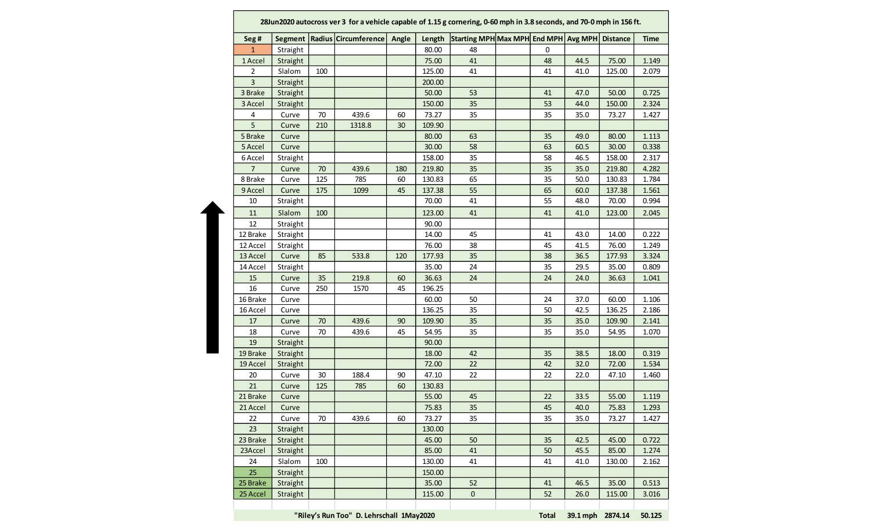| Seg#     | Segment  |        | Radius Circumference | Angle | Length | Starting MPH Max MPH End MPH Avg MPH Distance |    |      |        | <b>Time</b> |
|----------|----------|--------|----------------------|-------|--------|-----------------------------------------------|----|------|--------|-------------|
| 1        | Straight |        |                      |       | 80.00  | 48                                            | 0  |      |        |             |
| 1 Accel  | Straight |        |                      |       | 75.00  | 41                                            | 48 | 44.5 | 75.00  | 1.149       |
| 2        | Slalom   | 100    |                      |       | 125.00 | 41                                            | 41 | 41.0 | 125.00 | 2.079       |
| 3        | Straight |        |                      |       | 200.00 |                                               |    |      |        |             |
| 3 Brake  | Straight |        |                      |       | 50.00  | 53                                            | 41 | 47.0 | 50.00  | 0.725       |
| 3 Accel  | Straight |        |                      |       | 150.00 | 35                                            | 53 | 44.0 | 150.00 | 2.324       |
| 4        | Curve    | $70\,$ | 439.6                | 60    | 73.27  | 35                                            | 35 | 35.0 | 73.27  | 1.427       |
| 5        | Curve    | 210    | 1318.8               | 30    | 109.90 |                                               |    |      |        |             |
| 5 Brake  | Curve    |        |                      |       | 80.00  | 63                                            | 35 | 49.0 | 80.00  | 1.113       |
| 5 Accel  | Curve    |        |                      |       | 30.00  | 58                                            | 63 | 60.5 | 30.00  | 0.338       |
| 6 Accel  | Straight |        |                      |       | 158.00 | 35                                            | 58 | 46.5 | 158.00 | 2.317       |
| 7        | Curve    | 70     | 439.6                | 180   | 219.80 | 35                                            | 35 | 35.0 | 219.80 | 4.282       |
| 8 Brake  | Curve    | 125    | 785                  | 60    | 130.83 | 65                                            | 35 | 50.0 | 130.83 | 1.784       |
| 9 Accel  | Curve    | 175    | 1099                 | 45    | 137.38 | 55                                            | 65 | 60.0 | 137.38 | 1.561       |
| 10       | Straight |        |                      |       | 70.00  | 41                                            | 55 | 48.0 | 70.00  | 0.994       |
| 11       | Slalom   | 100    |                      |       | 123.00 | 41                                            | 41 | 41.0 | 123.00 | 2.045       |
| 12       | Straight |        |                      |       | 90.00  |                                               |    |      |        |             |
| 12 Brake | Straight |        |                      |       | 14.00  | 45                                            | 41 | 43.0 | 14.00  | 0.222       |
| 12 Accel | Straight |        |                      |       | 76.00  | 38                                            | 45 | 41.5 | 76.00  | 1.249       |
| 13 Accel | Curve    | 85     | 533.8                | 120   | 177.93 | 35                                            | 38 | 36.5 | 177.93 | 3.324       |
| 14 Accel | Straight |        |                      |       | 35.00  | 24                                            | 35 | 29.5 | 35.00  | 0.809       |
| 15       | Curve    | 35     | 219.8                | 60    | 36.63  | 24                                            | 24 | 24.0 | 36.63  | 1.041       |
| 16       | Curve    | 250    | 1570                 | 45    | 196.25 |                                               |    |      |        |             |
| 16 Brake | Curve    |        |                      |       | 60.00  | 50                                            | 24 | 37.0 | 60.00  | 1.106       |
| 16 Accel | Curve    |        |                      |       | 136.25 | 35                                            | 50 | 42.5 | 136.25 | 2.186       |
| 17       | Curve    | 70     | 439.6                | 90    | 109.90 | 35                                            | 35 | 35.0 | 109.90 | 2.141       |
| 18       | Curve    | 70     | 439.6                | 45    | 54.95  | 35                                            | 35 | 35.0 | 54.95  | 1.070       |
| 19       | Straight |        |                      |       | 90.00  |                                               |    |      |        |             |
| 19 Brake | Straight |        |                      |       | 18.00  | 42                                            | 35 | 38.5 | 18.00  | 0.319       |
| 19 Accel | Straight |        |                      |       | 72.00  | 22                                            | 42 | 32.0 | 72.00  | 1.534       |
| 20       | Curve    | 30     | 188.4                | 90    | 47.10  | 22                                            | 22 | 22.0 | 47.10  | 1.460       |
| 21       | Curve    | 125    | 785                  | 60    | 130.83 |                                               |    |      |        |             |
| 21 Brake | Curve    |        |                      |       | 55.00  | 45                                            | 22 | 33.5 | 55.00  | 1.119       |
| 21 Accel | Curve    |        |                      |       | 75.83  | 35                                            | 45 | 40.0 | 75.83  | 1.293       |
| 22       | Curve    | 70     | 439.6                | 60    | 73.27  | 35                                            | 35 | 35.0 | 73.27  | 1.427       |
| 23       | Straight |        |                      |       | 130.00 |                                               |    |      |        |             |
| 23 Brake | Straight |        |                      |       | 45.00  | 50                                            | 35 | 42.5 | 45.00  | 0.722       |
| 23Accel  | Straight |        |                      |       | 85.00  | 41                                            | 50 | 45.5 | 85.00  | 1.274       |
| 24       | Slalom   | 100    |                      |       | 130.00 | 41                                            | 41 | 41.0 | 130.00 | 2.162       |
| 25       | Straight |        |                      |       | 150.00 |                                               |    |      |        |             |
| 25 Brake | Straight |        |                      |       | 35.00  | 52                                            | 41 | 46.5 | 35.00  | 0.513       |
| 25 Accel | Straight |        |                      |       | 115.00 | $\mathbf{0}$                                  | 52 | 26.0 | 115.00 |             |
|          |          |        |                      |       |        |                                               |    |      |        | 3.016       |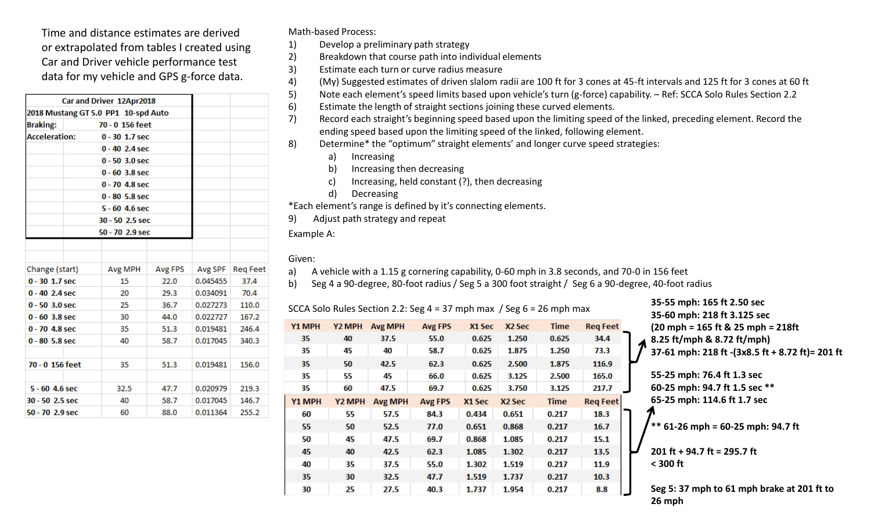Time and distance estimates are derived or extrapolated from tables I created using Car and Driver vehicle performance test data for my vehicle and GPS g-force data.

| Car and Driver 12Apr2018            |                    |         |          |                 |  |  |  |
|-------------------------------------|--------------------|---------|----------|-----------------|--|--|--|
| 2018 Mustang GT 5.0 PP1 10-spd Auto |                    |         |          |                 |  |  |  |
| <b>Braking:</b>                     |                    |         |          |                 |  |  |  |
| <b>Acceleration:</b>                | $0 - 30 1.7$ sec   |         |          |                 |  |  |  |
|                                     | $0 - 40 2.4$ sec   |         |          |                 |  |  |  |
|                                     | $0 - 50 - 3.0$ sec |         |          |                 |  |  |  |
|                                     | $0 - 60$ 3.8 sec   |         |          |                 |  |  |  |
|                                     | 0 - 70 4.8 sec     |         |          |                 |  |  |  |
|                                     | $0 - 80$ 5.8 sec   |         |          |                 |  |  |  |
|                                     |                    |         |          |                 |  |  |  |
|                                     | 30 - 50 2.5 sec    |         |          |                 |  |  |  |
|                                     | 50 - 70 2.9 sec    |         |          |                 |  |  |  |
|                                     |                    |         |          |                 |  |  |  |
|                                     |                    |         |          |                 |  |  |  |
| Change (start)                      | Avg MPH            | Avg FPS | Avg SPF  | <b>Reg Feet</b> |  |  |  |
| $0 - 30 1.7$ sec                    | 15                 | 22.0    | 0.045455 | 37.4            |  |  |  |
| $0 - 40 2.4$ sec                    | 20                 | 29.3    | 0.034091 | 70.4            |  |  |  |
| $0 - 50 - 3.0$ sec                  | 25                 | 36.7    | 0.027273 | 110.0           |  |  |  |
| $0 - 60$ 3.8 sec                    | 30                 | 44.0    | 0.022727 | 167.2           |  |  |  |
| $0 - 70 - 4.8$ sec                  | 35                 | 51.3    | 0.019481 | 246.4           |  |  |  |
| $0 - 80$ 5.8 sec                    | 40                 | 58.7    | 0.017045 | 340.3           |  |  |  |
|                                     |                    |         |          |                 |  |  |  |
| 70 - 0 156 feet                     | 35                 | 51.3    | 0.019481 | 156.0           |  |  |  |
|                                     |                    |         |          |                 |  |  |  |
| $5 - 60$ 4.6 sec                    | 32.5               | 47.7    | 0.020979 | 219.3           |  |  |  |
| 30 - 50 2.5 sec                     | 40                 | 58.7    | 0.017045 | 146.7           |  |  |  |
| 50 - 70 2.9 sec                     | 60                 | 88.0    | 0.011364 | 255.2           |  |  |  |

Math-based Process:

1) Develop a preliminary path strategy

2) Breakdown that course path into individual elements

3) Estimate each turn or curve radius measure

4) (My) Suggested estimates of driven slalom radii are 100 ft for 3 cones at 45-ft intervals and 125 ft for 3 cones at 60 ft

5) Note each element's speed limits based upon vehicle's turn (g-force) capability. – Ref: SCCA Solo Rules Section 2.2

6) Estimate the length of straight sections joining these curved elements.

7) Record each straight's beginning speed based upon the limiting speed of the linked, preceding element. Record the ending speed based upon the limiting speed of the linked, following element.

8) Determine\* the "optimum" straight elements' and longer curve speed strategies:

a) Increasing

b) Increasing then decreasing

c) Increasing, held constant (?), then decreasing

d) Decreasing

\*Each element's range is defined by it's connecting elements.

9) Adjust path strategy and repeat

Example A:

## Given:

a) A vehicle with a 1.15 g cornering capability, 0-60 mph in 3.8 seconds, and 70-0 in 156 feet

b) Seg 4 a 90-degree, 80-foot radius / Seg 5 a 300 foot straight / Seg 6 a 90-degree, 40-foot radius

SCCA Solo Rules Section 2.2: Seg 4 = 37 mph max / Seg 6 = 26 mph max **35-55 mph: 165 ft 2.50 sec**

| Y <sub>2</sub> MPH | <b>Avg MPH</b> | <b>Avg FPS</b> | X1 Sec | X <sub>2</sub> Sec | <b>Time</b> | <b>Req Feet</b> |
|--------------------|----------------|----------------|--------|--------------------|-------------|-----------------|
| 40                 | 37.5           | 55.0           | 0.625  | 1.250              | 0.625       | 34.4            |
| 45                 | 40             | 58.7           | 0.625  | 1.875              | 1.250       | 73.3            |
| 50                 | 42.5           | 62.3           | 0.625  | 2.500              | 1.875       | 116.9           |
| 55                 | 45             | 66.0           | 0.625  | 3.125              | 2.500       | 165.0           |
| 60                 | 47.5           | 69.7           | 0.625  | 3.750              | 3.125       | 217.7           |
| Y2 MPH             | <b>Avg MPH</b> | <b>Avg FPS</b> | X1 Sec | X <sub>2</sub> Sec | <b>Time</b> | <b>Req Feet</b> |
| 55                 | 57.5           | 84.3           | 0.434  | 0.651              | 0.217       | 18.3            |
| 50                 | 52.5           | 77.0           | 0.651  | 0.868              | 0.217       | 16.7            |
| 45                 | 47.5           | 69.7           | 0.868  | 1.085              | 0.217       | 15.1            |
| 40                 | 42.5           | 62.3           | 1.085  | 1.302              | 0.217       | 13.5            |
| 35                 | 37.5           | 55.0           | 1.302  | 1.519              | 0.217       | 11.9            |
| 30                 | 32.5           | 47.7           | 1.519  | 1.737              | 0.217       | 10.3            |
| 25                 | 27.5           | 40.3           | 1.737  | 1.954              | 0.217       | 8.8             |
|                    |                |                |        |                    |             |                 |

**35-60 mph: 218 ft 3.125 sec (20 mph = 165 ft & 25 mph = 218ft 8.25 ft/mph & 8.72 ft/mph) 37-61 mph: 218 ft -(3x8.5 ft + 8.72 ft)= 201 ft 55-25 mph: 76.4 ft 1.3 sec 60-25 mph: 94.7 ft 1.5 sec \*\* 65-25 mph: 114.6 ft 1.7 sec \*\* 61-26 mph = 60-25 mph: 94.7 ft 201 ft + 94.7 ft = 295.7 ft < 300 ft**

**Seg 5: 37 mph to 61 mph brake at 201 ft to 26 mph**